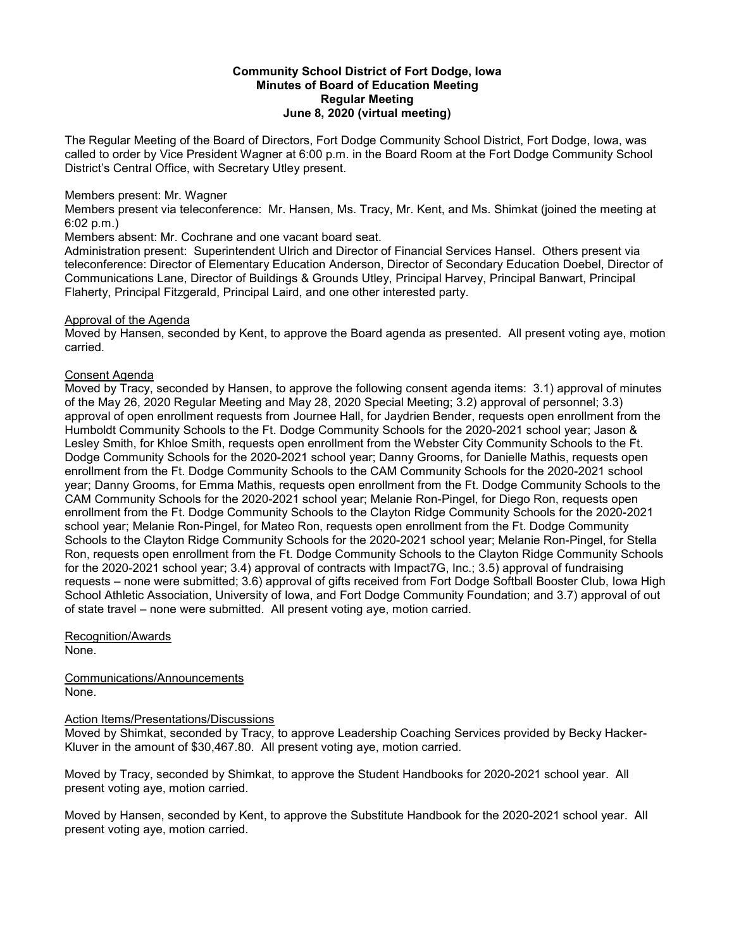## **Community School District of Fort Dodge, Iowa Minutes of Board of Education Meeting Regular Meeting June 8, 2020 (virtual meeting)**

The Regular Meeting of the Board of Directors, Fort Dodge Community School District, Fort Dodge, Iowa, was called to order by Vice President Wagner at 6:00 p.m. in the Board Room at the Fort Dodge Community School District's Central Office, with Secretary Utley present.

## Members present: Mr. Wagner

Members present via teleconference: Mr. Hansen, Ms. Tracy, Mr. Kent, and Ms. Shimkat (joined the meeting at 6:02 p.m.)

Members absent: Mr. Cochrane and one vacant board seat.

Administration present: Superintendent Ulrich and Director of Financial Services Hansel. Others present via teleconference: Director of Elementary Education Anderson, Director of Secondary Education Doebel, Director of Communications Lane, Director of Buildings & Grounds Utley, Principal Harvey, Principal Banwart, Principal Flaherty, Principal Fitzgerald, Principal Laird, and one other interested party.

# Approval of the Agenda

Moved by Hansen, seconded by Kent, to approve the Board agenda as presented. All present voting aye, motion carried.

# Consent Agenda

Moved by Tracy, seconded by Hansen, to approve the following consent agenda items: 3.1) approval of minutes of the May 26, 2020 Regular Meeting and May 28, 2020 Special Meeting; 3.2) approval of personnel; 3.3) approval of open enrollment requests from Journee Hall, for Jaydrien Bender, requests open enrollment from the Humboldt Community Schools to the Ft. Dodge Community Schools for the 2020-2021 school year; Jason & Lesley Smith, for Khloe Smith, requests open enrollment from the Webster City Community Schools to the Ft. Dodge Community Schools for the 2020-2021 school year; Danny Grooms, for Danielle Mathis, requests open enrollment from the Ft. Dodge Community Schools to the CAM Community Schools for the 2020-2021 school year; Danny Grooms, for Emma Mathis, requests open enrollment from the Ft. Dodge Community Schools to the CAM Community Schools for the 2020-2021 school year; Melanie Ron-Pingel, for Diego Ron, requests open enrollment from the Ft. Dodge Community Schools to the Clayton Ridge Community Schools for the 2020-2021 school year; Melanie Ron-Pingel, for Mateo Ron, requests open enrollment from the Ft. Dodge Community Schools to the Clayton Ridge Community Schools for the 2020-2021 school year; Melanie Ron-Pingel, for Stella Ron, requests open enrollment from the Ft. Dodge Community Schools to the Clayton Ridge Community Schools for the 2020-2021 school year; 3.4) approval of contracts with Impact7G, Inc.; 3.5) approval of fundraising requests – none were submitted; 3.6) approval of gifts received from Fort Dodge Softball Booster Club, Iowa High School Athletic Association, University of Iowa, and Fort Dodge Community Foundation; and 3.7) approval of out of state travel – none were submitted. All present voting aye, motion carried.

Recognition/Awards None.

Communications/Announcements None.

# Action Items/Presentations/Discussions

Moved by Shimkat, seconded by Tracy, to approve Leadership Coaching Services provided by Becky Hacker-Kluver in the amount of \$30,467.80. All present voting aye, motion carried.

Moved by Tracy, seconded by Shimkat, to approve the Student Handbooks for 2020-2021 school year. All present voting aye, motion carried.

Moved by Hansen, seconded by Kent, to approve the Substitute Handbook for the 2020-2021 school year. All present voting aye, motion carried.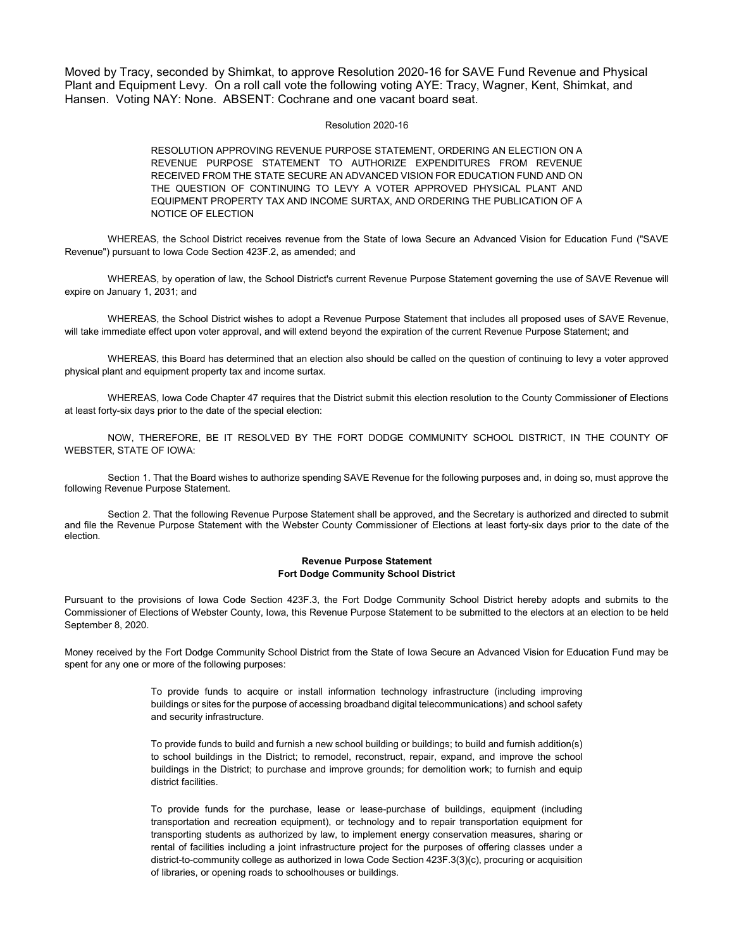Moved by Tracy, seconded by Shimkat, to approve Resolution 2020-16 for SAVE Fund Revenue and Physical Plant and Equipment Levy. On a roll call vote the following voting AYE: Tracy, Wagner, Kent, Shimkat, and Hansen. Voting NAY: None. ABSENT: Cochrane and one vacant board seat.

## Resolution 2020-16

RESOLUTION APPROVING REVENUE PURPOSE STATEMENT, ORDERING AN ELECTION ON A REVENUE PURPOSE STATEMENT TO AUTHORIZE EXPENDITURES FROM REVENUE RECEIVED FROM THE STATE SECURE AN ADVANCED VISION FOR EDUCATION FUND AND ON THE QUESTION OF CONTINUING TO LEVY A VOTER APPROVED PHYSICAL PLANT AND EQUIPMENT PROPERTY TAX AND INCOME SURTAX, AND ORDERING THE PUBLICATION OF A NOTICE OF ELECTION

WHEREAS, the School District receives revenue from the State of Iowa Secure an Advanced Vision for Education Fund ("SAVE Revenue") pursuant to Iowa Code Section 423F.2, as amended; and

WHEREAS, by operation of law, the School District's current Revenue Purpose Statement governing the use of SAVE Revenue will expire on January 1, 2031; and

WHEREAS, the School District wishes to adopt a Revenue Purpose Statement that includes all proposed uses of SAVE Revenue, will take immediate effect upon voter approval, and will extend beyond the expiration of the current Revenue Purpose Statement; and

WHEREAS, this Board has determined that an election also should be called on the question of continuing to levy a voter approved physical plant and equipment property tax and income surtax.

WHEREAS, Iowa Code Chapter 47 requires that the District submit this election resolution to the County Commissioner of Elections at least forty-six days prior to the date of the special election:

NOW, THEREFORE, BE IT RESOLVED BY THE FORT DODGE COMMUNITY SCHOOL DISTRICT, IN THE COUNTY OF WEBSTER, STATE OF IOWA:

Section 1. That the Board wishes to authorize spending SAVE Revenue for the following purposes and, in doing so, must approve the following Revenue Purpose Statement.

Section 2. That the following Revenue Purpose Statement shall be approved, and the Secretary is authorized and directed to submit and file the Revenue Purpose Statement with the Webster County Commissioner of Elections at least forty-six days prior to the date of the election.

## **Revenue Purpose Statement Fort Dodge Community School District**

Pursuant to the provisions of Iowa Code Section 423F.3, the Fort Dodge Community School District hereby adopts and submits to the Commissioner of Elections of Webster County, Iowa, this Revenue Purpose Statement to be submitted to the electors at an election to be held September 8, 2020.

Money received by the Fort Dodge Community School District from the State of Iowa Secure an Advanced Vision for Education Fund may be spent for any one or more of the following purposes:

> To provide funds to acquire or install information technology infrastructure (including improving buildings or sites for the purpose of accessing broadband digital telecommunications) and school safety and security infrastructure.

> To provide funds to build and furnish a new school building or buildings; to build and furnish addition(s) to school buildings in the District; to remodel, reconstruct, repair, expand, and improve the school buildings in the District; to purchase and improve grounds; for demolition work; to furnish and equip district facilities.

> To provide funds for the purchase, lease or lease-purchase of buildings, equipment (including transportation and recreation equipment), or technology and to repair transportation equipment for transporting students as authorized by law, to implement energy conservation measures, sharing or rental of facilities including a joint infrastructure project for the purposes of offering classes under a district-to-community college as authorized in Iowa Code Section 423F.3(3)(c), procuring or acquisition of libraries, or opening roads to schoolhouses or buildings.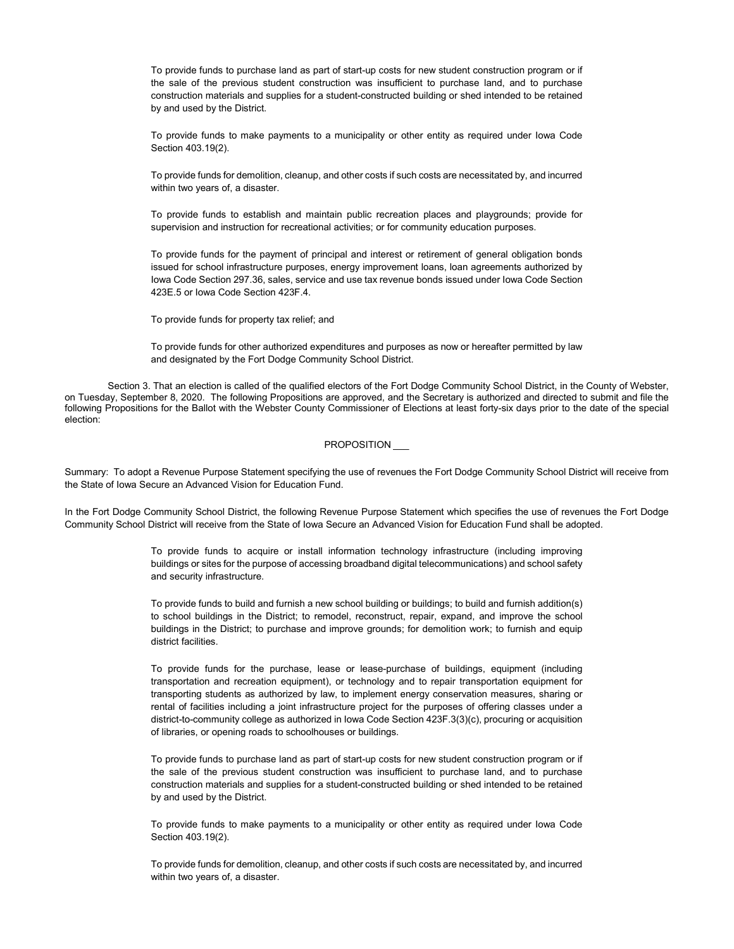To provide funds to purchase land as part of start-up costs for new student construction program or if the sale of the previous student construction was insufficient to purchase land, and to purchase construction materials and supplies for a student-constructed building or shed intended to be retained by and used by the District.

To provide funds to make payments to a municipality or other entity as required under Iowa Code Section 403.19(2).

To provide funds for demolition, cleanup, and other costs if such costs are necessitated by, and incurred within two years of, a disaster.

To provide funds to establish and maintain public recreation places and playgrounds; provide for supervision and instruction for recreational activities; or for community education purposes.

To provide funds for the payment of principal and interest or retirement of general obligation bonds issued for school infrastructure purposes, energy improvement loans, loan agreements authorized by Iowa Code Section 297.36, sales, service and use tax revenue bonds issued under Iowa Code Section 423E.5 or Iowa Code Section 423F.4.

To provide funds for property tax relief; and

To provide funds for other authorized expenditures and purposes as now or hereafter permitted by law and designated by the Fort Dodge Community School District.

Section 3. That an election is called of the qualified electors of the Fort Dodge Community School District, in the County of Webster, on Tuesday, September 8, 2020. The following Propositions are approved, and the Secretary is authorized and directed to submit and file the following Propositions for the Ballot with the Webster County Commissioner of Elections at least forty-six days prior to the date of the special election:

### PROPOSITION

Summary: To adopt a Revenue Purpose Statement specifying the use of revenues the Fort Dodge Community School District will receive from the State of Iowa Secure an Advanced Vision for Education Fund.

In the Fort Dodge Community School District, the following Revenue Purpose Statement which specifies the use of revenues the Fort Dodge Community School District will receive from the State of Iowa Secure an Advanced Vision for Education Fund shall be adopted.

> To provide funds to acquire or install information technology infrastructure (including improving buildings or sites for the purpose of accessing broadband digital telecommunications) and school safety and security infrastructure.

> To provide funds to build and furnish a new school building or buildings; to build and furnish addition(s) to school buildings in the District; to remodel, reconstruct, repair, expand, and improve the school buildings in the District; to purchase and improve grounds; for demolition work; to furnish and equip district facilities.

> To provide funds for the purchase, lease or lease-purchase of buildings, equipment (including transportation and recreation equipment), or technology and to repair transportation equipment for transporting students as authorized by law, to implement energy conservation measures, sharing or rental of facilities including a joint infrastructure project for the purposes of offering classes under a district-to-community college as authorized in Iowa Code Section 423F.3(3)(c), procuring or acquisition of libraries, or opening roads to schoolhouses or buildings.

> To provide funds to purchase land as part of start-up costs for new student construction program or if the sale of the previous student construction was insufficient to purchase land, and to purchase construction materials and supplies for a student-constructed building or shed intended to be retained by and used by the District.

> To provide funds to make payments to a municipality or other entity as required under Iowa Code Section 403.19(2).

> To provide funds for demolition, cleanup, and other costs if such costs are necessitated by, and incurred within two years of, a disaster.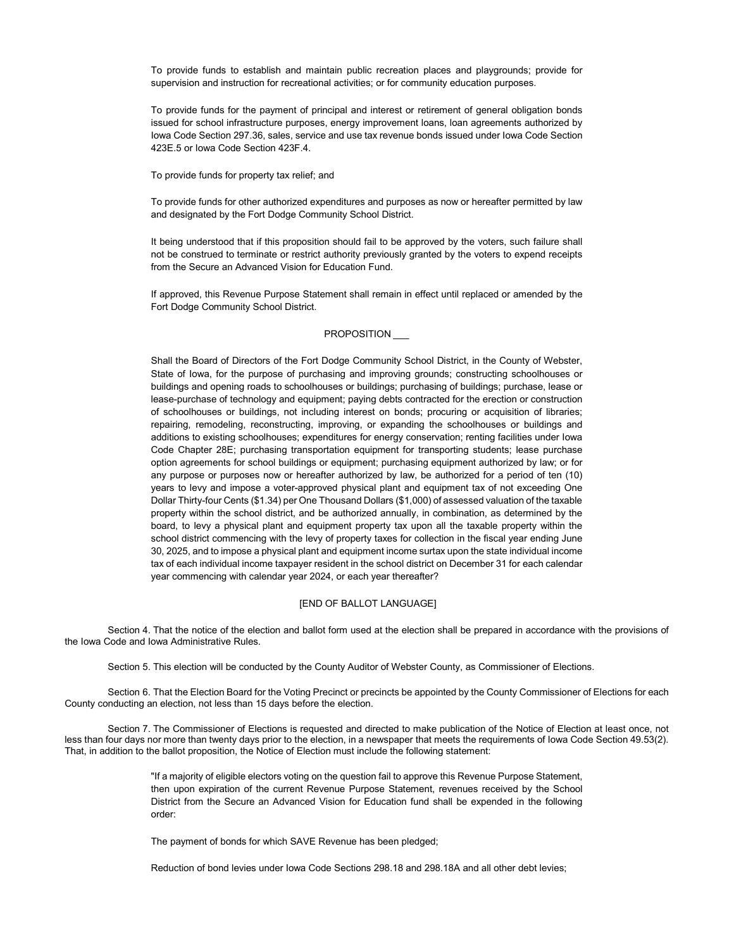To provide funds to establish and maintain public recreation places and playgrounds; provide for supervision and instruction for recreational activities; or for community education purposes.

To provide funds for the payment of principal and interest or retirement of general obligation bonds issued for school infrastructure purposes, energy improvement loans, loan agreements authorized by Iowa Code Section 297.36, sales, service and use tax revenue bonds issued under Iowa Code Section 423E.5 or Iowa Code Section 423F.4.

To provide funds for property tax relief; and

To provide funds for other authorized expenditures and purposes as now or hereafter permitted by law and designated by the Fort Dodge Community School District.

It being understood that if this proposition should fail to be approved by the voters, such failure shall not be construed to terminate or restrict authority previously granted by the voters to expend receipts from the Secure an Advanced Vision for Education Fund.

If approved, this Revenue Purpose Statement shall remain in effect until replaced or amended by the Fort Dodge Community School District.

## PROPOSITION

Shall the Board of Directors of the Fort Dodge Community School District, in the County of Webster, State of Iowa, for the purpose of purchasing and improving grounds; constructing schoolhouses or buildings and opening roads to schoolhouses or buildings; purchasing of buildings; purchase, lease or lease-purchase of technology and equipment; paying debts contracted for the erection or construction of schoolhouses or buildings, not including interest on bonds; procuring or acquisition of libraries; repairing, remodeling, reconstructing, improving, or expanding the schoolhouses or buildings and additions to existing schoolhouses; expenditures for energy conservation; renting facilities under Iowa Code Chapter 28E; purchasing transportation equipment for transporting students; lease purchase option agreements for school buildings or equipment; purchasing equipment authorized by law; or for any purpose or purposes now or hereafter authorized by law, be authorized for a period of ten (10) years to levy and impose a voter-approved physical plant and equipment tax of not exceeding One Dollar Thirty-four Cents (\$1.34) per One Thousand Dollars (\$1,000) of assessed valuation of the taxable property within the school district, and be authorized annually, in combination, as determined by the board, to levy a physical plant and equipment property tax upon all the taxable property within the school district commencing with the levy of property taxes for collection in the fiscal year ending June 30, 2025, and to impose a physical plant and equipment income surtax upon the state individual income tax of each individual income taxpayer resident in the school district on December 31 for each calendar year commencing with calendar year 2024, or each year thereafter?

#### [END OF BALLOT LANGUAGE]

Section 4. That the notice of the election and ballot form used at the election shall be prepared in accordance with the provisions of the Iowa Code and Iowa Administrative Rules.

Section 5. This election will be conducted by the County Auditor of Webster County, as Commissioner of Elections.

Section 6. That the Election Board for the Voting Precinct or precincts be appointed by the County Commissioner of Elections for each County conducting an election, not less than 15 days before the election.

Section 7. The Commissioner of Elections is requested and directed to make publication of the Notice of Election at least once, not less than four days nor more than twenty days prior to the election, in a newspaper that meets the requirements of Iowa Code Section 49.53(2). That, in addition to the ballot proposition, the Notice of Election must include the following statement:

> "If a majority of eligible electors voting on the question fail to approve this Revenue Purpose Statement, then upon expiration of the current Revenue Purpose Statement, revenues received by the School District from the Secure an Advanced Vision for Education fund shall be expended in the following order:

The payment of bonds for which SAVE Revenue has been pledged;

Reduction of bond levies under Iowa Code Sections 298.18 and 298.18A and all other debt levies;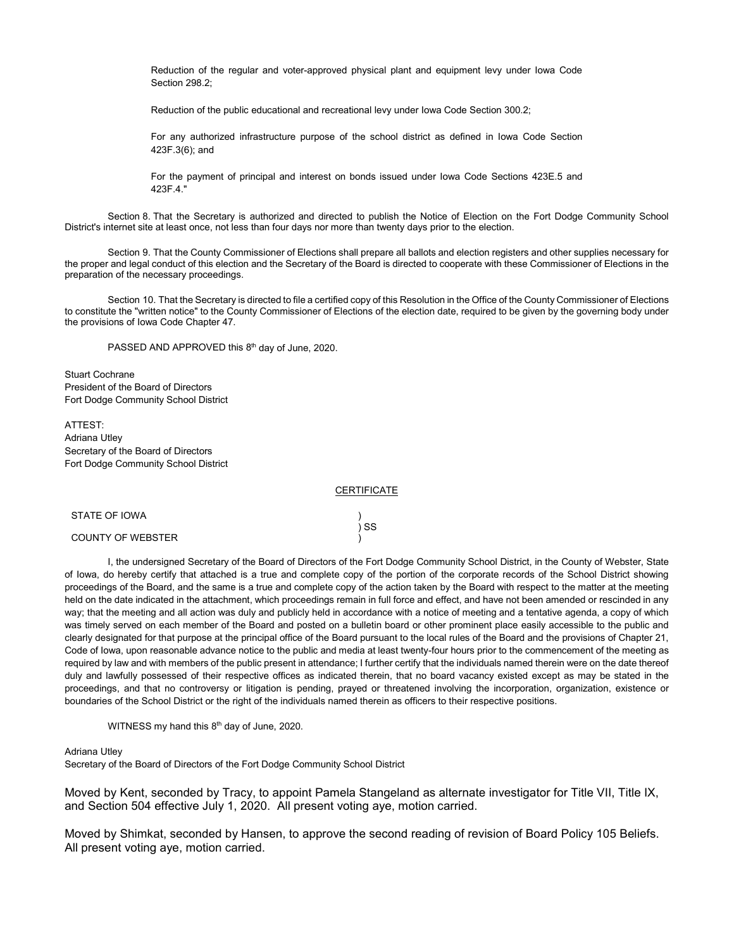Reduction of the regular and voter-approved physical plant and equipment levy under Iowa Code Section 298.2;

Reduction of the public educational and recreational levy under Iowa Code Section 300.2;

For any authorized infrastructure purpose of the school district as defined in Iowa Code Section 423F.3(6); and

For the payment of principal and interest on bonds issued under Iowa Code Sections 423E.5 and 423F.4."

Section 8. That the Secretary is authorized and directed to publish the Notice of Election on the Fort Dodge Community School District's internet site at least once, not less than four days nor more than twenty days prior to the election.

Section 9. That the County Commissioner of Elections shall prepare all ballots and election registers and other supplies necessary for the proper and legal conduct of this election and the Secretary of the Board is directed to cooperate with these Commissioner of Elections in the preparation of the necessary proceedings.

Section 10. That the Secretary is directed to file a certified copy of this Resolution in the Office of the County Commissioner of Elections to constitute the "written notice" to the County Commissioner of Elections of the election date, required to be given by the governing body under the provisions of Iowa Code Chapter 47.

PASSED AND APPROVED this 8<sup>th</sup> day of June, 2020.

Stuart Cochrane President of the Board of Directors Fort Dodge Community School District

ATTEST: Adriana Utley Secretary of the Board of Directors Fort Dodge Community School District

#### **CERTIFICATE**

) ) SS )

### STATE OF IOWA

#### COUNTY OF WEBSTER

I, the undersigned Secretary of the Board of Directors of the Fort Dodge Community School District, in the County of Webster, State of Iowa, do hereby certify that attached is a true and complete copy of the portion of the corporate records of the School District showing proceedings of the Board, and the same is a true and complete copy of the action taken by the Board with respect to the matter at the meeting held on the date indicated in the attachment, which proceedings remain in full force and effect, and have not been amended or rescinded in any way; that the meeting and all action was duly and publicly held in accordance with a notice of meeting and a tentative agenda, a copy of which was timely served on each member of the Board and posted on a bulletin board or other prominent place easily accessible to the public and clearly designated for that purpose at the principal office of the Board pursuant to the local rules of the Board and the provisions of Chapter 21, Code of Iowa, upon reasonable advance notice to the public and media at least twenty-four hours prior to the commencement of the meeting as required by law and with members of the public present in attendance; I further certify that the individuals named therein were on the date thereof duly and lawfully possessed of their respective offices as indicated therein, that no board vacancy existed except as may be stated in the proceedings, and that no controversy or litigation is pending, prayed or threatened involving the incorporation, organization, existence or boundaries of the School District or the right of the individuals named therein as officers to their respective positions.

WITNESS my hand this 8<sup>th</sup> day of June, 2020.

### Adriana Utley

Secretary of the Board of Directors of the Fort Dodge Community School District

Moved by Kent, seconded by Tracy, to appoint Pamela Stangeland as alternate investigator for Title VII, Title IX, and Section 504 effective July 1, 2020. All present voting aye, motion carried.

Moved by Shimkat, seconded by Hansen, to approve the second reading of revision of Board Policy 105 Beliefs. All present voting aye, motion carried.